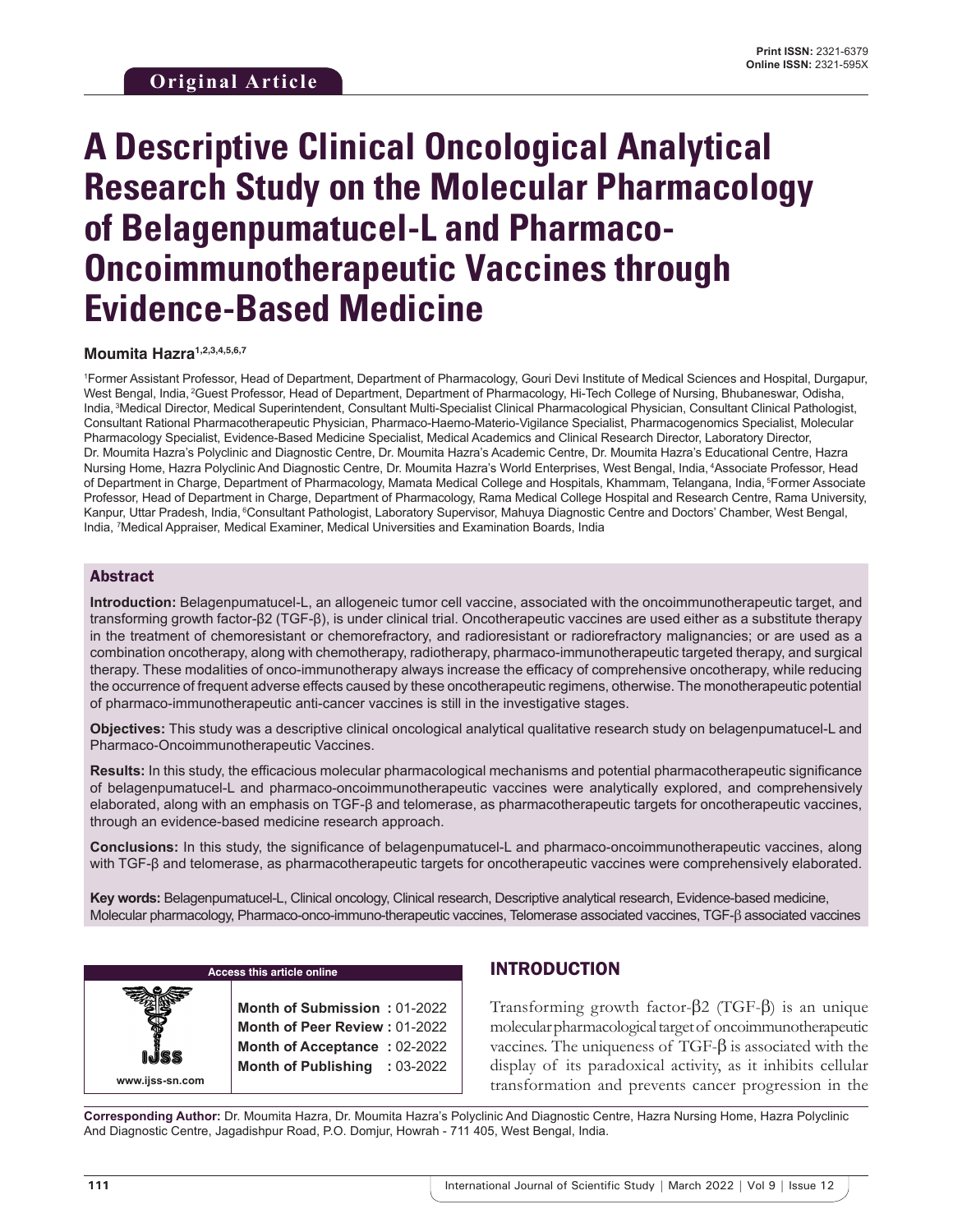# **A Descriptive Clinical Oncological Analytical Research Study on the Molecular Pharmacology of Belagenpumatucel-L and Pharmaco-Oncoimmunotherapeutic Vaccines through Evidence-Based Medicine**

**Moumita Hazra1,2,3,4,5,6,7**

1 Former Assistant Professor, Head of Department, Department of Pharmacology, Gouri Devi Institute of Medical Sciences and Hospital, Durgapur, West Bengal, India, 2Guest Professor, Head of Department, Department of Pharmacology, Hi-Tech College of Nursing, Bhubaneswar, Odisha, India, 3Medical Director, Medical Superintendent, Consultant Multi-Specialist Clinical Pharmacological Physician, Consultant Clinical Pathologist, Consultant Rational Pharmacotherapeutic Physician, Pharmaco-Haemo-Materio-Vigilance Specialist, Pharmacogenomics Specialist, Molecular Pharmacology Specialist, Evidence-Based Medicine Specialist, Medical Academics and Clinical Research Director, Laboratory Director, Dr. Moumita Hazra's Polyclinic and Diagnostic Centre, Dr. Moumita Hazra's Academic Centre, Dr. Moumita Hazra's Educational Centre, Hazra Nursing Home, Hazra Polyclinic And Diagnostic Centre, Dr. Moumita Hazra's World Enterprises, West Bengal, India, 4Associate Professor, Head of Department in Charge, Department of Pharmacology, Mamata Medical College and Hospitals, Khammam, Telangana, India, 5Former Associate Professor, Head of Department in Charge, Department of Pharmacology, Rama Medical College Hospital and Research Centre, Rama University, Kanpur, Uttar Pradesh, India, <sup>6</sup>Consultant Pathologist, Laboratory Supervisor, Mahuya Diagnostic Centre and Doctors' Chamber, West Bengal, India, 7 Medical Appraiser, Medical Examiner, Medical Universities and Examination Boards, India

## Abstract

**Introduction:** Belagenpumatucel-L, an allogeneic tumor cell vaccine, associated with the oncoimmunotherapeutic target, and transforming growth factor-β2 (TGF-β), is under clinical trial. Oncotherapeutic vaccines are used either as a substitute therapy in the treatment of chemoresistant or chemorefractory, and radioresistant or radiorefractory malignancies; or are used as a combination oncotherapy, along with chemotherapy, radiotherapy, pharmaco-immunotherapeutic targeted therapy, and surgical therapy. These modalities of onco-immunotherapy always increase the efficacy of comprehensive oncotherapy, while reducing the occurrence of frequent adverse effects caused by these oncotherapeutic regimens, otherwise. The monotherapeutic potential of pharmaco-immunotherapeutic anti-cancer vaccines is still in the investigative stages.

**Objectives:** This study was a descriptive clinical oncological analytical qualitative research study on belagenpumatucel-L and Pharmaco-Oncoimmunotherapeutic Vaccines.

**Results:** In this study, the efficacious molecular pharmacological mechanisms and potential pharmacotherapeutic significance of belagenpumatucel-L and pharmaco-oncoimmunotherapeutic vaccines were analytically explored, and comprehensively elaborated, along with an emphasis on TGF-β and telomerase, as pharmacotherapeutic targets for oncotherapeutic vaccines, through an evidence-based medicine research approach.

**Conclusions:** In this study, the significance of belagenpumatucel-L and pharmaco-oncoimmunotherapeutic vaccines, along with TGF-β and telomerase, as pharmacotherapeutic targets for oncotherapeutic vaccines were comprehensively elaborated.

**Key words:** Belagenpumatucel-L, Clinical oncology, Clinical research, Descriptive analytical research, Evidence-based medicine, Molecular pharmacology, Pharmaco-onco-immuno-therapeutic vaccines, Telomerase associated vaccines, TGF-β associated vaccines

**Access this article online www.ijss-sn.com Month of Submission :** 01-2022 **Month of Peer Review :** 01-2022 **Month of Acceptance :** 02-2022 **Month of Publishing :** 03-2022

# INTRODUCTION

Transforming growth factor-β2 (TGF-β) is an unique molecular pharmacological target of oncoimmunotherapeutic vaccines. The uniqueness of TGF-β is associated with the display of its paradoxical activity, as it inhibits cellular transformation and prevents cancer progression in the

**Corresponding Author:** Dr. Moumita Hazra, Dr. Moumita Hazra's Polyclinic And Diagnostic Centre, Hazra Nursing Home, Hazra Polyclinic And Diagnostic Centre, Jagadishpur Road, P.O. Domjur, Howrah - 711 405, West Bengal, India.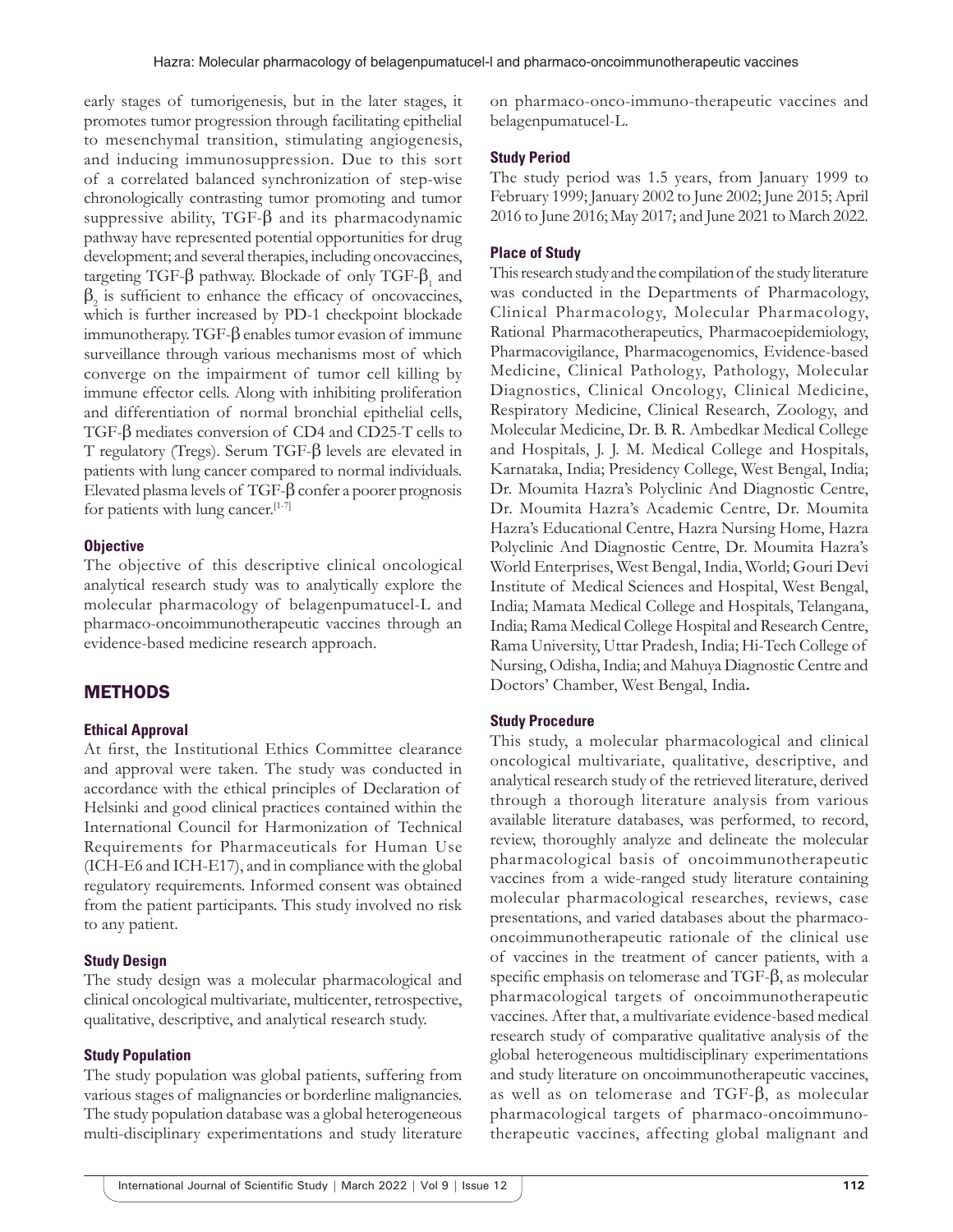early stages of tumorigenesis, but in the later stages, it promotes tumor progression through facilitating epithelial to mesenchymal transition, stimulating angiogenesis, and inducing immunosuppression. Due to this sort of a correlated balanced synchronization of step-wise chronologically contrasting tumor promoting and tumor suppressive ability,  $TGF- $\beta$  and its pharmacodynamic$ pathway have represented potential opportunities for drug development; and several therapies, including oncovaccines, targeting TGF-β pathway. Blockade of only TGF- $β_1$  and  $\beta_2$  is sufficient to enhance the efficacy of oncovaccines, which is further increased by PD-1 checkpoint blockade immunotherapy. TGF-β enables tumor evasion of immune surveillance through various mechanisms most of which converge on the impairment of tumor cell killing by immune effector cells. Along with inhibiting proliferation and differentiation of normal bronchial epithelial cells, TGF-β mediates conversion of CD4 and CD25-T cells to T regulatory (Tregs). Serum TGF-β levels are elevated in patients with lung cancer compared to normal individuals. Elevated plasma levels of TGF-β confer a poorer prognosis for patients with lung cancer.[1-7]

#### **Objective**

The objective of this descriptive clinical oncological analytical research study was to analytically explore the molecular pharmacology of belagenpumatucel-L and pharmaco-oncoimmunotherapeutic vaccines through an evidence-based medicine research approach.

## **METHODS**

#### **Ethical Approval**

At first, the Institutional Ethics Committee clearance and approval were taken. The study was conducted in accordance with the ethical principles of Declaration of Helsinki and good clinical practices contained within the International Council for Harmonization of Technical Requirements for Pharmaceuticals for Human Use (ICH-E6 and ICH-E17), and in compliance with the global regulatory requirements. Informed consent was obtained from the patient participants. This study involved no risk to any patient.

#### **Study Design**

The study design was a molecular pharmacological and clinical oncological multivariate, multicenter, retrospective, qualitative, descriptive, and analytical research study.

#### **Study Population**

The study population was global patients, suffering from various stages of malignancies or borderline malignancies. The study population database was a global heterogeneous multi-disciplinary experimentations and study literature on pharmaco-onco-immuno-therapeutic vaccines and belagenpumatucel-L.

#### **Study Period**

The study period was 1.5 years, from January 1999 to February 1999; January 2002 to June 2002; June 2015; April 2016 to June 2016; May 2017; and June 2021 to March 2022.

#### **Place of Study**

This research study and the compilation of the study literature was conducted in the Departments of Pharmacology, Clinical Pharmacology, Molecular Pharmacology, Rational Pharmacotherapeutics, Pharmacoepidemiology, Pharmacovigilance, Pharmacogenomics, Evidence-based Medicine, Clinical Pathology, Pathology, Molecular Diagnostics, Clinical Oncology, Clinical Medicine, Respiratory Medicine, Clinical Research, Zoology, and Molecular Medicine, Dr. B. R. Ambedkar Medical College and Hospitals, J. J. M. Medical College and Hospitals, Karnataka, India; Presidency College, West Bengal, India; Dr. Moumita Hazra's Polyclinic And Diagnostic Centre, Dr. Moumita Hazra's Academic Centre, Dr. Moumita Hazra's Educational Centre, Hazra Nursing Home, Hazra Polyclinic And Diagnostic Centre, Dr. Moumita Hazra's World Enterprises, West Bengal, India, World; Gouri Devi Institute of Medical Sciences and Hospital, West Bengal, India; Mamata Medical College and Hospitals, Telangana, India; Rama Medical College Hospital and Research Centre, Rama University, Uttar Pradesh, India; Hi-Tech College of Nursing, Odisha, India; and Mahuya Diagnostic Centre and Doctors' Chamber, West Bengal, India**.**

#### **Study Procedure**

This study, a molecular pharmacological and clinical oncological multivariate, qualitative, descriptive, and analytical research study of the retrieved literature, derived through a thorough literature analysis from various available literature databases, was performed, to record, review, thoroughly analyze and delineate the molecular pharmacological basis of oncoimmunotherapeutic vaccines from a wide-ranged study literature containing molecular pharmacological researches, reviews, case presentations, and varied databases about the pharmacooncoimmunotherapeutic rationale of the clinical use of vaccines in the treatment of cancer patients, with a specific emphasis on telomerase and TGF-β, as molecular pharmacological targets of oncoimmunotherapeutic vaccines. After that, a multivariate evidence-based medical research study of comparative qualitative analysis of the global heterogeneous multidisciplinary experimentations and study literature on oncoimmunotherapeutic vaccines, as well as on telomerase and TGF-β, as molecular pharmacological targets of pharmaco-oncoimmunotherapeutic vaccines, affecting global malignant and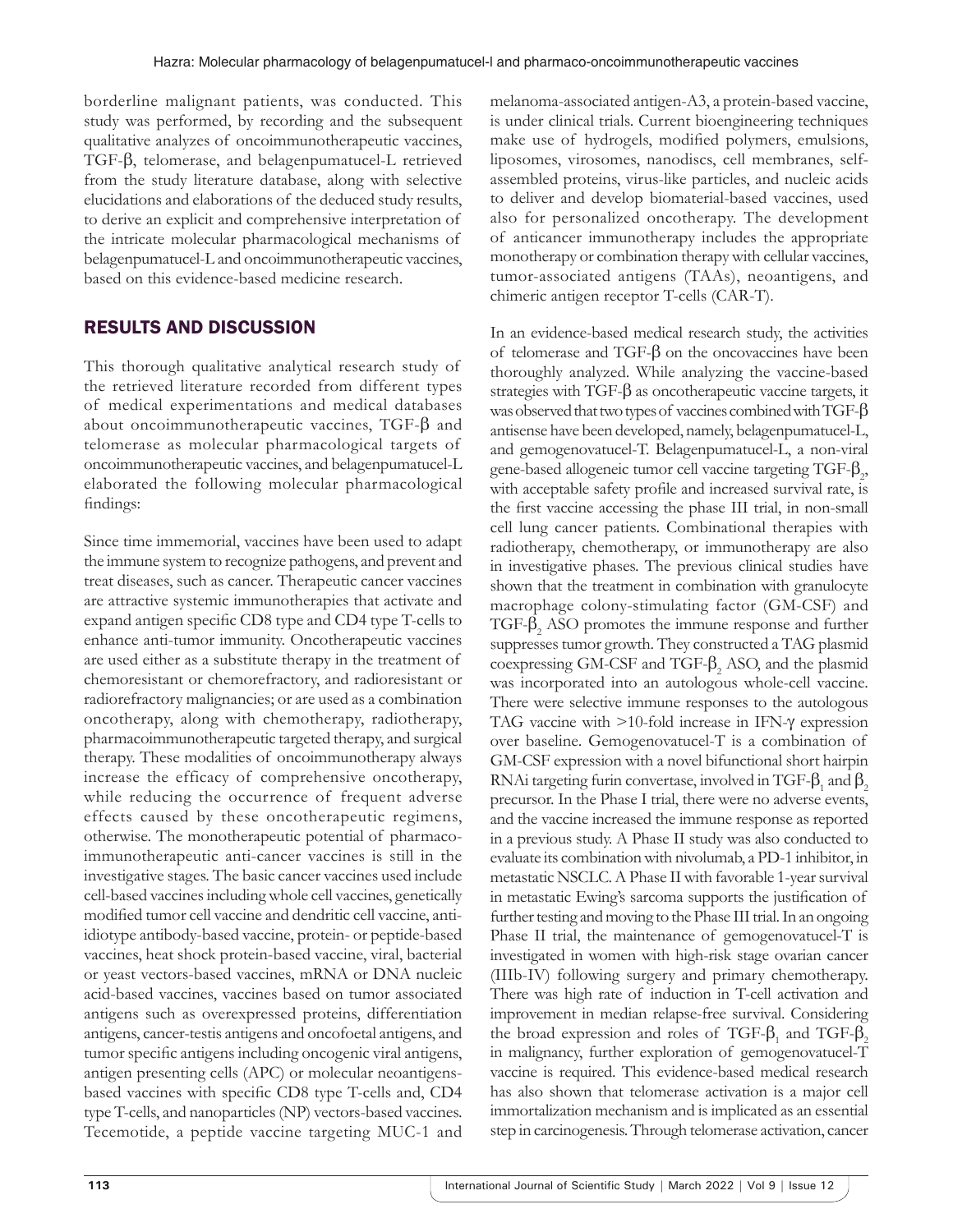borderline malignant patients, was conducted. This study was performed, by recording and the subsequent qualitative analyzes of oncoimmunotherapeutic vaccines, TGF-β, telomerase, and belagenpumatucel-L retrieved from the study literature database, along with selective elucidations and elaborations of the deduced study results, to derive an explicit and comprehensive interpretation of the intricate molecular pharmacological mechanisms of belagenpumatucel-L and oncoimmunotherapeutic vaccines, based on this evidence-based medicine research.

# RESULTS AND DISCUSSION

This thorough qualitative analytical research study of the retrieved literature recorded from different types of medical experimentations and medical databases about oncoimmunotherapeutic vaccines, TGF-β and telomerase as molecular pharmacological targets of oncoimmunotherapeutic vaccines, and belagenpumatucel-L elaborated the following molecular pharmacological findings:

Since time immemorial, vaccines have been used to adapt the immune system to recognize pathogens, and prevent and treat diseases, such as cancer. Therapeutic cancer vaccines are attractive systemic immunotherapies that activate and expand antigen specific CD8 type and CD4 type T-cells to enhance anti-tumor immunity. Oncotherapeutic vaccines are used either as a substitute therapy in the treatment of chemoresistant or chemorefractory, and radioresistant or radiorefractory malignancies; or are used as a combination oncotherapy, along with chemotherapy, radiotherapy, pharmacoimmunotherapeutic targeted therapy, and surgical therapy. These modalities of oncoimmunotherapy always increase the efficacy of comprehensive oncotherapy, while reducing the occurrence of frequent adverse effects caused by these oncotherapeutic regimens, otherwise. The monotherapeutic potential of pharmacoimmunotherapeutic anti-cancer vaccines is still in the investigative stages. The basic cancer vaccines used include cell-based vaccines including whole cell vaccines, genetically modified tumor cell vaccine and dendritic cell vaccine, antiidiotype antibody-based vaccine, protein- or peptide-based vaccines, heat shock protein-based vaccine, viral, bacterial or yeast vectors-based vaccines, mRNA or DNA nucleic acid-based vaccines, vaccines based on tumor associated antigens such as overexpressed proteins, differentiation antigens, cancer-testis antigens and oncofoetal antigens, and tumor specific antigens including oncogenic viral antigens, antigen presenting cells (APC) or molecular neoantigensbased vaccines with specific CD8 type T-cells and, CD4 type T-cells, and nanoparticles (NP) vectors-based vaccines. Tecemotide, a peptide vaccine targeting MUC-1 and

melanoma-associated antigen-A3, a protein-based vaccine, is under clinical trials. Current bioengineering techniques make use of hydrogels, modified polymers, emulsions, liposomes, virosomes, nanodiscs, cell membranes, selfassembled proteins, virus-like particles, and nucleic acids to deliver and develop biomaterial-based vaccines, used also for personalized oncotherapy. The development of anticancer immunotherapy includes the appropriate monotherapy or combination therapy with cellular vaccines, tumor-associated antigens (TAAs), neoantigens, and chimeric antigen receptor T-cells (CAR-T).

In an evidence-based medical research study, the activities of telomerase and TGF-β on the oncovaccines have been thoroughly analyzed. While analyzing the vaccine-based strategies with TGF-β as oncotherapeutic vaccine targets, it was observed that two types of vaccines combined with TGF-β antisense have been developed, namely, belagenpumatucel-L, and gemogenovatucel-T. Belagenpumatucel-L, a non-viral gene-based allogeneic tumor cell vaccine targeting  $TGF-\beta_2$ , with acceptable safety profile and increased survival rate, is the first vaccine accessing the phase III trial, in non-small cell lung cancer patients. Combinational therapies with radiotherapy, chemotherapy, or immunotherapy are also in investigative phases. The previous clinical studies have shown that the treatment in combination with granulocyte macrophage colony-stimulating factor (GM-CSF) and TGF- $β_2$  ASO promotes the immune response and further suppresses tumor growth. They constructed a TAG plasmid  $\cos$ pressing GM-CSF and TGF- $\beta_2$  ASO, and the plasmid was incorporated into an autologous whole-cell vaccine. There were selective immune responses to the autologous TAG vaccine with >10-fold increase in IFN-γ expression over baseline. Gemogenovatucel-T is a combination of GM-CSF expression with a novel bifunctional short hairpin RNAi targeting furin convertase, involved in TGF- $\beta_1$  and  $\beta_2$ precursor. In the Phase I trial, there were no adverse events, and the vaccine increased the immune response as reported in a previous study. A Phase II study was also conducted to evaluate its combination with nivolumab, a PD-1 inhibitor, in metastatic NSCLC. APhase II with favorable 1-year survival in metastatic Ewing's sarcoma supports the justification of further testing and moving to the Phase III trial. In an ongoing Phase II trial, the maintenance of gemogenovatucel-T is investigated in women with high-risk stage ovarian cancer (IIIb-IV) following surgery and primary chemotherapy. There was high rate of induction in T-cell activation and improvement in median relapse-free survival. Considering the broad expression and roles of TGF- $\beta_1$  and TGF- $\beta_2$ in malignancy, further exploration of gemogenovatucel-T vaccine is required. This evidence-based medical research has also shown that telomerase activation is a major cell immortalization mechanism and is implicated as an essential step in carcinogenesis. Through telomerase activation, cancer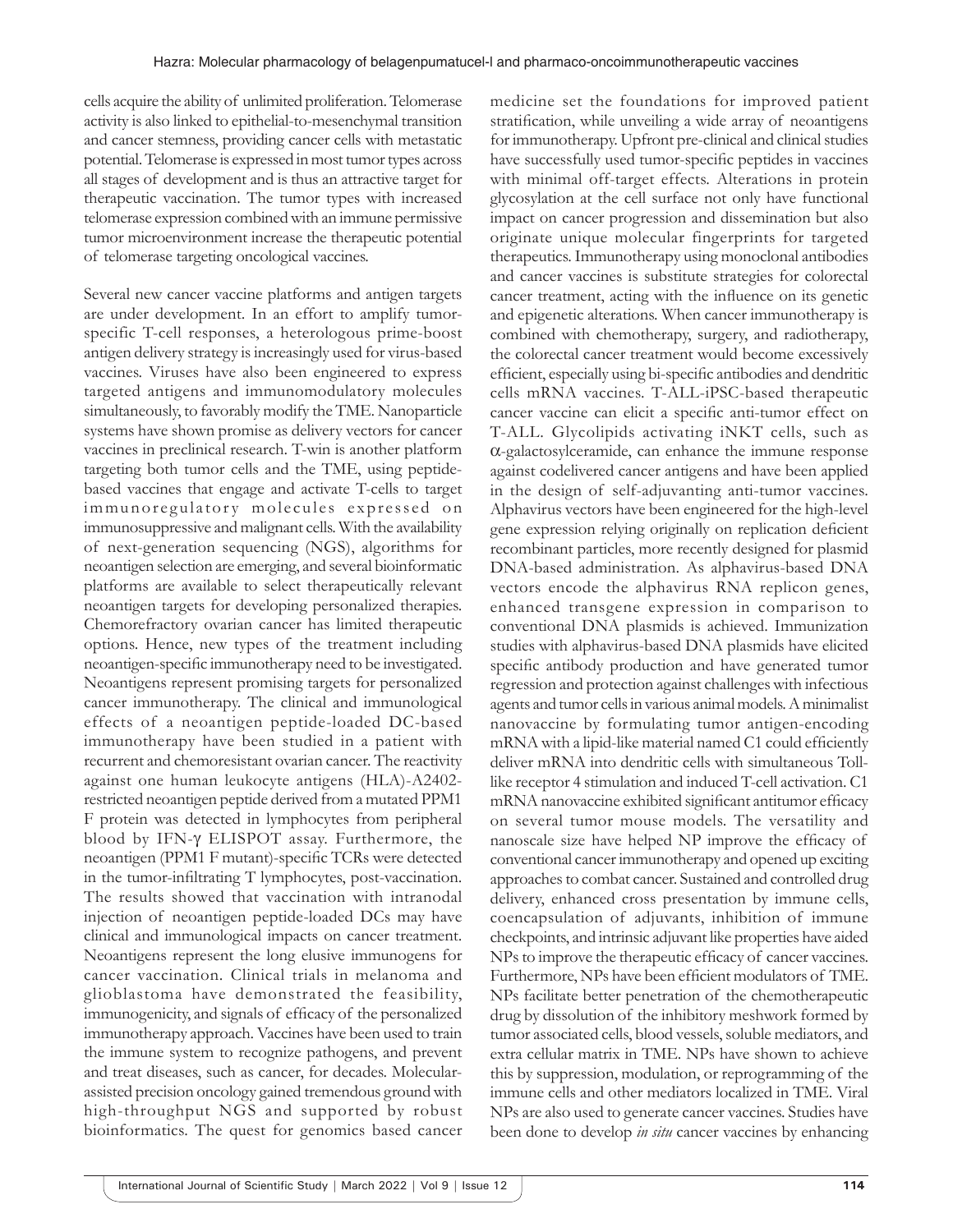cells acquire the ability of unlimited proliferation. Telomerase activity is also linked to epithelial-to-mesenchymal transition and cancer stemness, providing cancer cells with metastatic potential. Telomerase is expressed in most tumor types across all stages of development and is thus an attractive target for therapeutic vaccination. The tumor types with increased telomerase expression combined with an immune permissive tumor microenvironment increase the therapeutic potential of telomerase targeting oncological vaccines.

Several new cancer vaccine platforms and antigen targets are under development. In an effort to amplify tumorspecific T-cell responses, a heterologous prime-boost antigen delivery strategy is increasingly used for virus-based vaccines. Viruses have also been engineered to express targeted antigens and immunomodulatory molecules simultaneously, to favorably modify the TME. Nanoparticle systems have shown promise as delivery vectors for cancer vaccines in preclinical research. T-win is another platform targeting both tumor cells and the TME, using peptidebased vaccines that engage and activate T-cells to target immunoregulatory molecules expressed on immunosuppressive and malignant cells. With the availability of next-generation sequencing (NGS), algorithms for neoantigen selection are emerging, and several bioinformatic platforms are available to select therapeutically relevant neoantigen targets for developing personalized therapies. Chemorefractory ovarian cancer has limited therapeutic options. Hence, new types of the treatment including neoantigen-specific immunotherapy need to be investigated. Neoantigens represent promising targets for personalized cancer immunotherapy. The clinical and immunological effects of a neoantigen peptide-loaded DC-based immunotherapy have been studied in a patient with recurrent and chemoresistant ovarian cancer. The reactivity against one human leukocyte antigens (HLA)-A2402 restricted neoantigen peptide derived from a mutated PPM1 F protein was detected in lymphocytes from peripheral blood by IFN-γ ELISPOT assay. Furthermore, the neoantigen (PPM1 F mutant)-specific TCRs were detected in the tumor-infiltrating T lymphocytes, post-vaccination. The results showed that vaccination with intranodal injection of neoantigen peptide-loaded DCs may have clinical and immunological impacts on cancer treatment. Neoantigens represent the long elusive immunogens for cancer vaccination. Clinical trials in melanoma and glioblastoma have demonstrated the feasibility, immunogenicity, and signals of efficacy of the personalized immunotherapy approach. Vaccines have been used to train the immune system to recognize pathogens, and prevent and treat diseases, such as cancer, for decades. Molecularassisted precision oncology gained tremendous ground with high-throughput NGS and supported by robust bioinformatics. The quest for genomics based cancer

medicine set the foundations for improved patient stratification, while unveiling a wide array of neoantigens for immunotherapy. Upfront pre-clinical and clinical studies have successfully used tumor-specific peptides in vaccines with minimal off-target effects. Alterations in protein glycosylation at the cell surface not only have functional impact on cancer progression and dissemination but also originate unique molecular fingerprints for targeted therapeutics. Immunotherapy using monoclonal antibodies and cancer vaccines is substitute strategies for colorectal cancer treatment, acting with the influence on its genetic and epigenetic alterations. When cancer immunotherapy is combined with chemotherapy, surgery, and radiotherapy, the colorectal cancer treatment would become excessively efficient, especially using bi-specific antibodies and dendritic cells mRNA vaccines. T-ALL-iPSC-based therapeutic cancer vaccine can elicit a specific anti-tumor effect on T-ALL. Glycolipids activating iNKT cells, such as α-galactosylceramide, can enhance the immune response against codelivered cancer antigens and have been applied in the design of self-adjuvanting anti-tumor vaccines. Alphavirus vectors have been engineered for the high-level gene expression relying originally on replication deficient recombinant particles, more recently designed for plasmid DNA-based administration. As alphavirus-based DNA vectors encode the alphavirus RNA replicon genes, enhanced transgene expression in comparison to conventional DNA plasmids is achieved. Immunization studies with alphavirus-based DNA plasmids have elicited specific antibody production and have generated tumor regression and protection against challenges with infectious agents and tumor cells in various animal models. Aminimalist nanovaccine by formulating tumor antigen-encoding mRNA with a lipid-like material named C1 could efficiently deliver mRNA into dendritic cells with simultaneous Tolllike receptor 4 stimulation and induced T-cell activation. C1 mRNA nanovaccine exhibited significant antitumor efficacy on several tumor mouse models. The versatility and nanoscale size have helped NP improve the efficacy of conventional cancer immunotherapy and opened up exciting approaches to combat cancer. Sustained and controlled drug delivery, enhanced cross presentation by immune cells, coencapsulation of adjuvants, inhibition of immune checkpoints, and intrinsic adjuvant like properties have aided NPs to improve the therapeutic efficacy of cancer vaccines. Furthermore, NPs have been efficient modulators of TME. NPs facilitate better penetration of the chemotherapeutic drug by dissolution of the inhibitory meshwork formed by tumor associated cells, blood vessels, soluble mediators, and extra cellular matrix in TME. NPs have shown to achieve this by suppression, modulation, or reprogramming of the immune cells and other mediators localized in TME. Viral NPs are also used to generate cancer vaccines. Studies have been done to develop *in situ* cancer vaccines by enhancing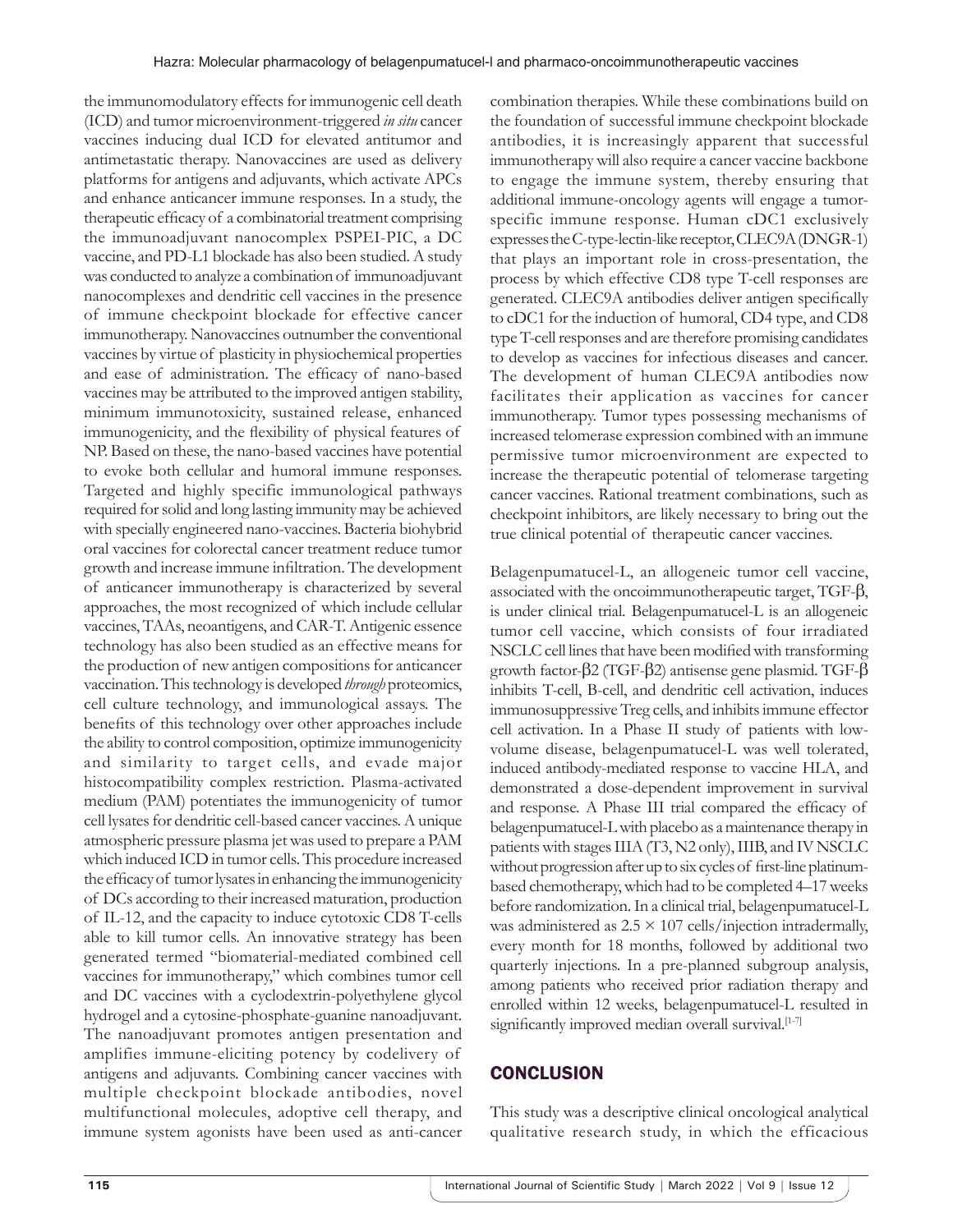the immunomodulatory effects for immunogenic cell death (ICD) and tumor microenvironment-triggered *in situ* cancer vaccines inducing dual ICD for elevated antitumor and antimetastatic therapy. Nanovaccines are used as delivery platforms for antigens and adjuvants, which activate APCs and enhance anticancer immune responses. In a study, the therapeutic efficacy of a combinatorial treatment comprising the immunoadjuvant nanocomplex PSPEI-PIC, a DC vaccine, and PD-L1 blockade has also been studied. A study was conducted to analyze a combination of immunoadjuvant nanocomplexes and dendritic cell vaccines in the presence of immune checkpoint blockade for effective cancer immunotherapy. Nanovaccines outnumber the conventional vaccines by virtue of plasticity in physiochemical properties and ease of administration. The efficacy of nano-based vaccines may be attributed to the improved antigen stability, minimum immunotoxicity, sustained release, enhanced immunogenicity, and the flexibility of physical features of NP. Based on these, the nano-based vaccines have potential to evoke both cellular and humoral immune responses. Targeted and highly specific immunological pathways required for solid and long lasting immunity may be achieved with specially engineered nano-vaccines. Bacteria biohybrid oral vaccines for colorectal cancer treatment reduce tumor growth and increase immune infiltration. The development of anticancer immunotherapy is characterized by several approaches, the most recognized of which include cellular vaccines, TAAs, neoantigens, and CAR-T. Antigenic essence technology has also been studied as an effective means for the production of new antigen compositions for anticancer vaccination. This technology is developed *through* proteomics, cell culture technology, and immunological assays. The benefits of this technology over other approaches include the ability to control composition, optimize immunogenicity and similarity to target cells, and evade major histocompatibility complex restriction. Plasma-activated medium (PAM) potentiates the immunogenicity of tumor cell lysates for dendritic cell-based cancer vaccines. Aunique atmospheric pressure plasma jet was used to prepare a PAM which induced ICD in tumor cells. This procedure increased the efficacy of tumor lysates in enhancing the immunogenicity of DCs according to their increased maturation, production of IL-12, and the capacity to induce cytotoxic CD8 T-cells able to kill tumor cells. An innovative strategy has been generated termed "biomaterial-mediated combined cell vaccines for immunotherapy," which combines tumor cell and DC vaccines with a cyclodextrin-polyethylene glycol hydrogel and a cytosine-phosphate-guanine nanoadjuvant. The nanoadjuvant promotes antigen presentation and amplifies immune-eliciting potency by codelivery of antigens and adjuvants. Combining cancer vaccines with multiple checkpoint blockade antibodies, novel multifunctional molecules, adoptive cell therapy, and immune system agonists have been used as anti-cancer

combination therapies. While these combinations build on the foundation of successful immune checkpoint blockade antibodies, it is increasingly apparent that successful immunotherapy will also require a cancer vaccine backbone to engage the immune system, thereby ensuring that additional immune-oncology agents will engage a tumorspecific immune response. Human cDC1 exclusively expresses the C-type-lectin-like receptor, CLEC9A (DNGR-1) that plays an important role in cross-presentation, the process by which effective CD8 type T-cell responses are generated. CLEC9A antibodies deliver antigen specifically to cDC1 for the induction of humoral, CD4 type, and CD8 type T-cell responses and are therefore promising candidates to develop as vaccines for infectious diseases and cancer. The development of human CLEC9A antibodies now facilitates their application as vaccines for cancer immunotherapy. Tumor types possessing mechanisms of increased telomerase expression combined with an immune permissive tumor microenvironment are expected to increase the therapeutic potential of telomerase targeting cancer vaccines. Rational treatment combinations, such as checkpoint inhibitors, are likely necessary to bring out the true clinical potential of therapeutic cancer vaccines.

Belagenpumatucel-L, an allogeneic tumor cell vaccine, associated with the oncoimmunotherapeutic target, TGF-β, is under clinical trial. Belagenpumatucel-L is an allogeneic tumor cell vaccine, which consists of four irradiated NSCLC cell lines that have been modified with transforming growth factor-β2 (TGF-β2) antisense gene plasmid. TGF-β inhibits T-cell, B-cell, and dendritic cell activation, induces immunosuppressive Treg cells, and inhibits immune effector cell activation. In a Phase II study of patients with lowvolume disease, belagenpumatucel-L was well tolerated, induced antibody-mediated response to vaccine HLA, and demonstrated a dose-dependent improvement in survival and response. A Phase III trial compared the efficacy of belagenpumatucel-L with placebo as a maintenance therapy in patients with stages IIIA (T3, N2 only), IIIB, and IV NSCLC without progression after up to six cycles of first-line platinumbased chemotherapy, which had to be completed 4–17weeks before randomization. In a clinical trial, belagenpumatucel-L was administered as  $2.5 \times 107$  cells/injection intradermally, every month for 18 months, followed by additional two quarterly injections. In a pre-planned subgroup analysis, among patients who received prior radiation therapy and enrolled within 12 weeks, belagenpumatucel-L resulted in significantly improved median overall survival.<sup>[1-7]</sup>

# **CONCLUSION**

This study was a descriptive clinical oncological analytical qualitative research study, in which the efficacious